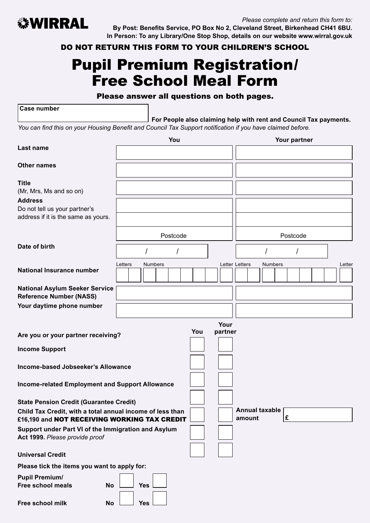

*Please complete and return this form to:* **By Post: Benefits Service, PO Box No 2, Cleveland Street, Birkenhead CH41 6BU. In Person: To any Library/One Stop Shop, details on our website www.wirral.gov.uk** 

DO NOT RETURN THIS FORM TO YOUR CHILDREN'S SCHOOL

# Pupil Premium Registration/ Free School Meal Form

#### Please answer all questions on both pages.

**Case number**

**For People also claiming help with rent and Council Tax payments.**

*You can find this on your Housing Benefit and Council Tax Support notification if you have claimed before.*

|                                                                                                             | You                       |                        | Your partner              |        |  |  |
|-------------------------------------------------------------------------------------------------------------|---------------------------|------------------------|---------------------------|--------|--|--|
| Last name                                                                                                   |                           |                        |                           |        |  |  |
| <b>Other names</b>                                                                                          |                           |                        |                           |        |  |  |
| <b>Title</b><br>(Mr, Mrs, Ms and so on)                                                                     |                           |                        |                           |        |  |  |
| <b>Address</b><br>Do not tell us your partner's<br>address if it is the same as yours.                      |                           |                        |                           |        |  |  |
|                                                                                                             | Postcode                  |                        | Postcode                  |        |  |  |
| Date of birth                                                                                               |                           |                        |                           |        |  |  |
| <b>National Insurance number</b>                                                                            | Letters<br><b>Numbers</b> |                        | Letter Letters<br>Numbers | Letter |  |  |
| <b>National Asylum Seeker Service</b><br><b>Reference Number (NASS)</b>                                     |                           |                        |                           |        |  |  |
| Your daytime phone number                                                                                   |                           |                        |                           |        |  |  |
| Are you or your partner receiving?<br><b>Income Support</b>                                                 |                           | Your<br>You<br>partner |                           |        |  |  |
| Income-based Jobseeker's Allowance                                                                          |                           |                        |                           |        |  |  |
| Income-related Employment and Support Allowance                                                             |                           |                        |                           |        |  |  |
| <b>State Pension Credit (Guarantee Credit)</b><br>Child Tax Credit, with a total annual income of less than |                           |                        | <b>Annual taxable</b>     |        |  |  |
| £16,190 and NOT RECEIVING WORKING TAX CREDIT                                                                |                           |                        | £<br>amount               |        |  |  |
| Support under Part VI of the Immigration and Asylum<br>Act 1999. Please provide proof                       |                           |                        |                           |        |  |  |
| <b>Universal Credit</b>                                                                                     |                           |                        |                           |        |  |  |
| Please tick the items you want to apply for:                                                                |                           |                        |                           |        |  |  |
| <b>Pupil Premium/</b><br><b>Free school meals</b><br><b>No</b>                                              | <b>Yes</b>                |                        |                           |        |  |  |
| Free school milk<br>No                                                                                      | <b>Yes</b>                |                        |                           |        |  |  |